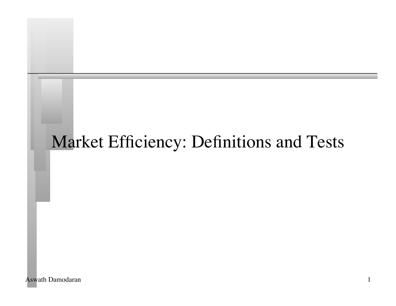# Market Efficiency: Definitions and Tests

Aswath Damodaran 1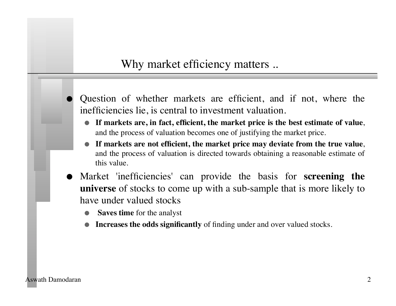### Why market efficiency matters ..

- Question of whether markets are efficient, and if not, where the inefficiencies lie, is central to investment valuation.
	- **If markets are, in fact, efficient, the market price is the best estimate of value**, and the process of valuation becomes one of justifying the market price.
	- **If markets are not efficient, the market price may deviate from the true value**, and the process of valuation is directed towards obtaining a reasonable estimate of this value.
- Market 'inefficiencies' can provide the basis for **screening the universe** of stocks to come up with a sub-sample that is more likely to have under valued stocks
	- **Saves time** for the analyst
	- **Increases the odds significantly** of finding under and over valued stocks.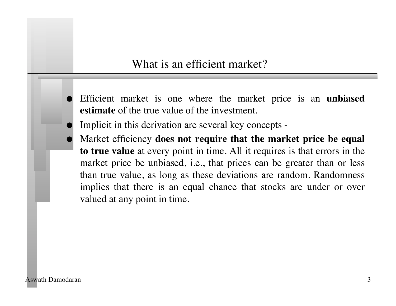### What is an efficient market?

- Efficient market is one where the market price is an **unbiased estimate** of the true value of the investment.
- Implicit in this derivation are several key concepts -
- Market efficiency **does not require that the market price be equal to true value** at every point in time. All it requires is that errors in the market price be unbiased, i.e., that prices can be greater than or less than true value, as long as these deviations are random. Randomness implies that there is an equal chance that stocks are under or over valued at any point in time.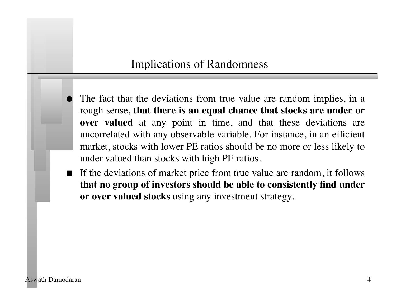### Implications of Randomness

- The fact that the deviations from true value are random implies, in a rough sense, **that there is an equal chance that stocks are under or over valued** at any point in time, and that these deviations are uncorrelated with any observable variable. For instance, in an efficient market, stocks with lower PE ratios should be no more or less likely to under valued than stocks with high PE ratios.
- If the deviations of market price from true value are random, it follows **that no group of investors should be able to consistently find under or over valued stocks** using any investment strategy.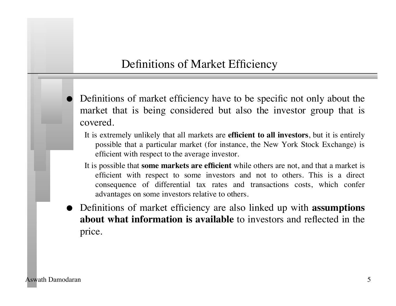### Definitions of Market Efficiency

- Definitions of market efficiency have to be specific not only about the market that is being considered but also the investor group that is covered.
	- It is extremely unlikely that all markets are **efficient to all investors**, but it is entirely possible that a particular market (for instance, the New York Stock Exchange) is efficient with respect to the average investor.
	- It is possible that **some markets are efficient** while others are not, and that a market is efficient with respect to some investors and not to others. This is a direct consequence of differential tax rates and transactions costs, which confer advantages on some investors relative to others.
- Definitions of market efficiency are also linked up with **assumptions about what information is available** to investors and reflected in the price.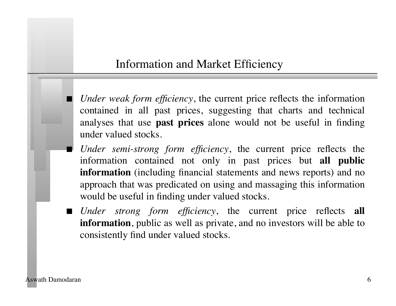### Information and Market Efficiency

- *Under weak form efficiency*, the current price reflects the information contained in all past prices, suggesting that charts and technical analyses that use **past prices** alone would not be useful in finding under valued stocks.
- *Under semi-strong form efficiency*, the current price reflects the information contained not only in past prices but **all public information** (including financial statements and news reports) and no approach that was predicated on using and massaging this information would be useful in finding under valued stocks.
- *Under strong form efficiency*, the current price reflects **all information**, public as well as private, and no investors will be able to consistently find under valued stocks.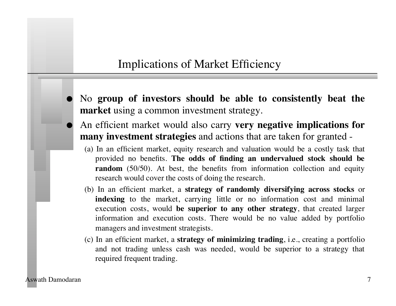### Implications of Market Efficiency

- No **group of investors should be able to consistently beat the market** using a common investment strategy.
- An efficient market would also carry **very negative implications for many investment strategies** and actions that are taken for granted -
	- (a) In an efficient market, equity research and valuation would be a costly task that provided no benefits. **The odds of finding an undervalued stock should be random** (50/50). At best, the benefits from information collection and equity research would cover the costs of doing the research.
	- (b) In an efficient market, a **strategy of randomly diversifying across stocks** or **indexing** to the market, carrying little or no information cost and minimal execution costs, would **be superior to any other strategy**, that created larger information and execution costs. There would be no value added by portfolio managers and investment strategists.
	- (c) In an efficient market, a **strategy of minimizing trading**, i.e., creating a portfolio and not trading unless cash was needed, would be superior to a strategy that required frequent trading.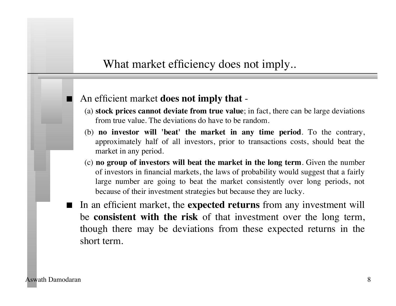### What market efficiency does not imply..

#### An efficient market **does not imply that** -

- (a) **stock prices cannot deviate from true value**; in fact, there can be large deviations from true value. The deviations do have to be random.
- (b) **no investor will 'beat' the market in any time period**. To the contrary, approximately half of all investors, prior to transactions costs, should beat the market in any period.
- (c) **no group of investors will beat the market in the long term**. Given the number of investors in financial markets, the laws of probability would suggest that a fairly large number are going to beat the market consistently over long periods, not because of their investment strategies but because they are lucky.
- In an efficient market, the **expected returns** from any investment will be **consistent with the risk** of that investment over the long term, though there may be deviations from these expected returns in the short term.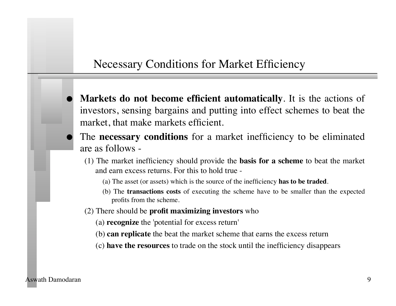### Necessary Conditions for Market Efficiency

- **Markets do not become efficient automatically**. It is the actions of investors, sensing bargains and putting into effect schemes to beat the market, that make markets efficient.
- The **necessary conditions** for a market inefficiency to be eliminated are as follows -
	- (1) The market inefficiency should provide the **basis for a scheme** to beat the market and earn excess returns. For this to hold true -
		- (a) The asset (or assets) which is the source of the inefficiency **has to be traded**.
		- (b) The **transactions costs** of executing the scheme have to be smaller than the expected profits from the scheme.
	- (2) There should be **profit maximizing investors** who
		- (a) **recognize** the 'potential for excess return'
		- (b) **can replicate** the beat the market scheme that earns the excess return
		- (c) **have the resources** to trade on the stock until the inefficiency disappears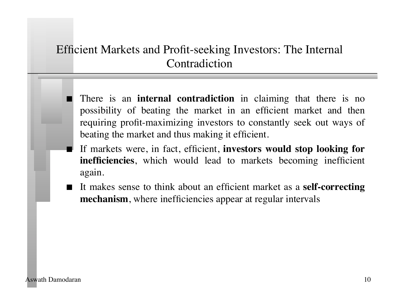### Efficient Markets and Profit-seeking Investors: The Internal Contradiction

- There is an **internal contradiction** in claiming that there is no possibility of beating the market in an efficient market and then requiring profit-maximizing investors to constantly seek out ways of beating the market and thus making it efficient.
- If markets were, in fact, efficient, **investors would stop looking for inefficiencies**, which would lead to markets becoming inefficient again.
- It makes sense to think about an efficient market as a **self-correcting mechanism**, where inefficiencies appear at regular intervals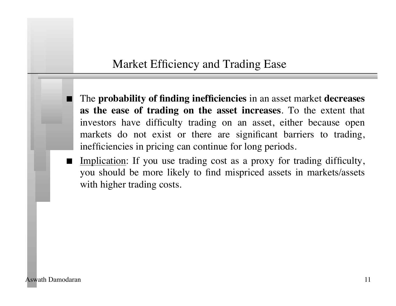### Market Efficiency and Trading Ease

 The **probability of finding inefficiencies** in an asset market **decreases as the ease of trading on the asset increases**. To the extent that investors have difficulty trading on an asset, either because open markets do not exist or there are significant barriers to trading, inefficiencies in pricing can continue for long periods.

Implication: If you use trading cost as a proxy for trading difficulty, you should be more likely to find mispriced assets in markets/assets with higher trading costs.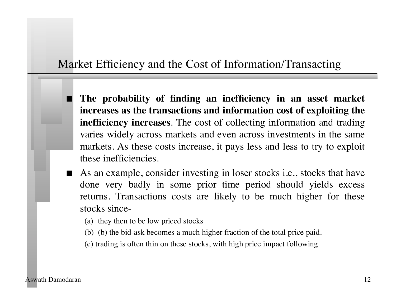### Market Efficiency and the Cost of Information/Transacting

- **The probability of finding an inefficiency in an asset market increases as the transactions and information cost of exploiting the inefficiency increases**. The cost of collecting information and trading varies widely across markets and even across investments in the same markets. As these costs increase, it pays less and less to try to exploit these inefficiencies.
- As an example, consider investing in loser stocks i.e., stocks that have done very badly in some prior time period should yields excess returns. Transactions costs are likely to be much higher for these stocks since-
	- (a) they then to be low priced stocks
	- (b) (b) the bid-ask becomes a much higher fraction of the total price paid.
	- (c) trading is often thin on these stocks, with high price impact following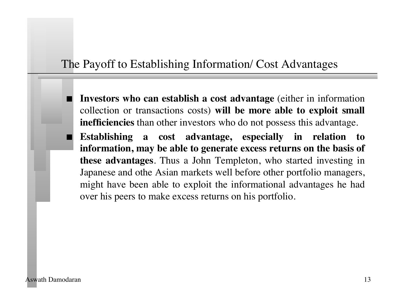### The Payoff to Establishing Information/ Cost Advantages

- **Investors who can establish a cost advantage** (either in information collection or transactions costs) **will be more able to exploit small inefficiencies** than other investors who do not possess this advantage.
- **Establishing a cost advantage, especially in relation to information, may be able to generate excess returns on the basis of these advantages**. Thus a John Templeton, who started investing in Japanese and othe Asian markets well before other portfolio managers, might have been able to exploit the informational advantages he had over his peers to make excess returns on his portfolio.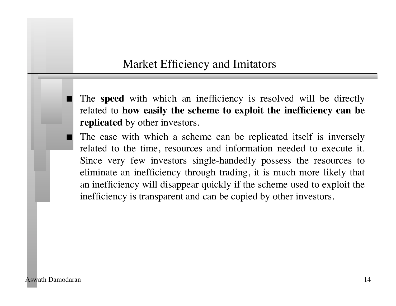### Market Efficiency and Imitators

 The **speed** with which an inefficiency is resolved will be directly related to **how easily the scheme to exploit the inefficiency can be replicated** by other investors.

 The ease with which a scheme can be replicated itself is inversely related to the time, resources and information needed to execute it. Since very few investors single-handedly possess the resources to eliminate an inefficiency through trading, it is much more likely that an inefficiency will disappear quickly if the scheme used to exploit the inefficiency is transparent and can be copied by other investors.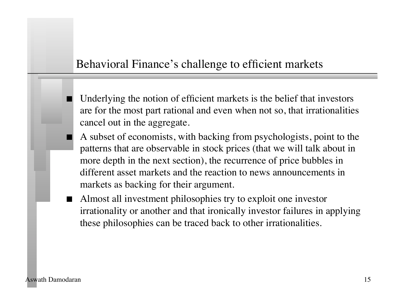### Behavioral Finance's challenge to efficient markets

- Underlying the notion of efficient markets is the belief that investors are for the most part rational and even when not so, that irrationalities cancel out in the aggregate.
- A subset of economists, with backing from psychologists, point to the patterns that are observable in stock prices (that we will talk about in more depth in the next section), the recurrence of price bubbles in different asset markets and the reaction to news announcements in markets as backing for their argument.
- Almost all investment philosophies try to exploit one investor irrationality or another and that ironically investor failures in applying these philosophies can be traced back to other irrationalities.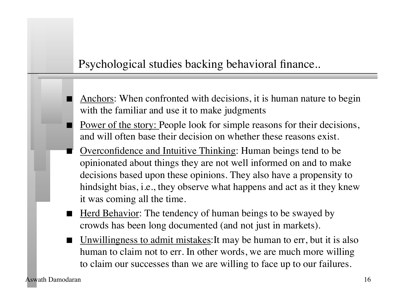### Psychological studies backing behavioral finance..

- Anchors: When confronted with decisions, it is human nature to begin with the familiar and use it to make judgments
- Power of the story: People look for simple reasons for their decisions, and will often base their decision on whether these reasons exist.
- Overconfidence and Intuitive Thinking: Human beings tend to be opinionated about things they are not well informed on and to make decisions based upon these opinions. They also have a propensity to hindsight bias, i.e., they observe what happens and act as it they knew it was coming all the time.
- Herd Behavior: The tendency of human beings to be swayed by crowds has been long documented (and not just in markets).
- Unwillingness to admit mistakes:It may be human to err, but it is also human to claim not to err. In other words, we are much more willing to claim our successes than we are willing to face up to our failures.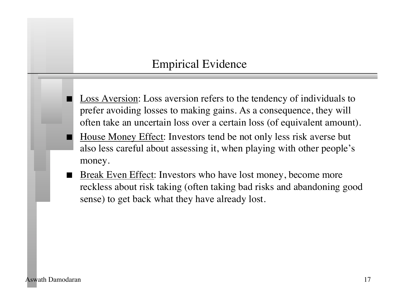### Empirical Evidence

- Loss Aversion: Loss aversion refers to the tendency of individuals to prefer avoiding losses to making gains. As a consequence, they will often take an uncertain loss over a certain loss (of equivalent amount).
- House Money Effect: Investors tend be not only less risk averse but also less careful about assessing it, when playing with other people's money.
- Break Even Effect: Investors who have lost money, become more reckless about risk taking (often taking bad risks and abandoning good sense) to get back what they have already lost.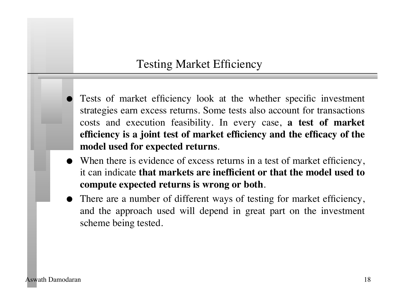### Testing Market Efficiency

- Tests of market efficiency look at the whether specific investment strategies earn excess returns. Some tests also account for transactions costs and execution feasibility. In every case, **a test of market efficiency is a joint test of market efficiency and the efficacy of the model used for expected returns**.
- When there is evidence of excess returns in a test of market efficiency, it can indicate **that markets are inefficient or that the model used to compute expected returns is wrong or both**.
- There are a number of different ways of testing for market efficiency, and the approach used will depend in great part on the investment scheme being tested.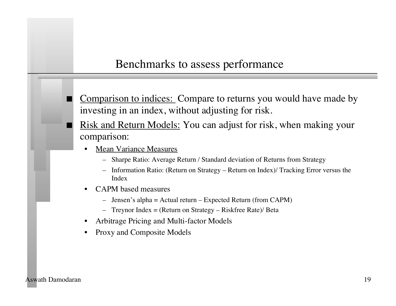### Benchmarks to assess performance

- Comparison to indices: Compare to returns you would have made by investing in an index, without adjusting for risk.
- Risk and Return Models: You can adjust for risk, when making your comparison:
	- **Mean Variance Measures** 
		- Sharpe Ratio: Average Return / Standard deviation of Returns from Strategy
		- Information Ratio: (Return on Strategy Return on Index)/ Tracking Error versus the Index
	- CAPM based measures
		- Jensen's alpha = Actual return Expected Return (from CAPM)
		- Treynor Index = (Return on Strategy Riskfree Rate)/ Beta
	- Arbitrage Pricing and Multi-factor Models
	- Proxy and Composite Models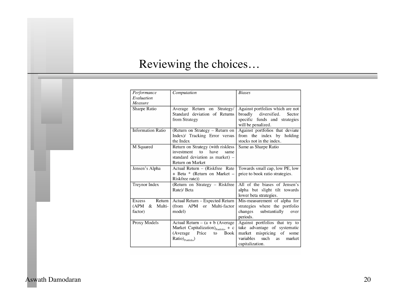# Reviewing the choices…

| Performance              | Computation                                     | <b>Biases</b>                     |
|--------------------------|-------------------------------------------------|-----------------------------------|
| Evaluation               |                                                 |                                   |
| Measure                  |                                                 |                                   |
| Sharpe Ratio             | Average Return on Strategy/                     | Against portfolios which are not  |
|                          | Standard deviation of Returns                   | diversified.<br>broadly<br>Sector |
|                          | from Strategy                                   | specific funds and strategies     |
|                          |                                                 | will be penalized.                |
| <b>Information Ratio</b> | (Return on Strategy - Return on                 | Against portfolios that deviate   |
|                          | Index)/ Tracking Error versus                   | from the index by<br>holding      |
|                          | the Index                                       | stocks not in the index.          |
| M Squared                | Return on Strategy (with riskless               | Same as Sharpe Ratio              |
|                          | investment<br>have<br>to<br>same                |                                   |
|                          | standard deviation as market) -                 |                                   |
|                          | <b>Return on Market</b>                         |                                   |
| Jensen's Alpha           | Actual Return - (Riskfree Rate)                 | Towards small cap, low PE, low    |
|                          | + Beta * (Return on Market –                    | price to book ratio strategies.   |
|                          | Riskfree rate))                                 |                                   |
| Treynor Index            | (Return on Strategy - Riskfree                  | All of the biases of Jensen's     |
|                          | Rate)/ Beta                                     | alpha but slight tilt towards     |
|                          |                                                 | lower beta strategies.            |
| Return<br>Excess         | Actual Return - Expected Return                 | Mis-measurement of alpha for      |
| Multi-<br>(APM)<br>&     | (from APM or Multi-factor                       | strategies where the portfolio    |
| factor)                  | model)                                          | changes substantially<br>over     |
|                          |                                                 | periods.                          |
| Proxy Models             | Actual Return $-$ (a + b (Average)              | Against portfolios that try to    |
|                          | Market Capitalization) $_{\text{Portolio}} + c$ | take advantage of systematic      |
|                          | (Average<br>Price<br>Book<br>to                 | market mispricing of<br>some      |
|                          | Ratio) <sub>Portfolio</sub> )                   | such<br>variables<br>market<br>as |
|                          |                                                 | capitalization.                   |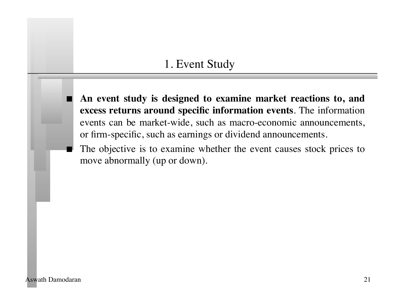### 1. Event Study

 **An event study is designed to examine market reactions to, and excess returns around specific information events**. The information events can be market-wide, such as macro-economic announcements, or firm-specific, such as earnings or dividend announcements.

 The objective is to examine whether the event causes stock prices to move abnormally (up or down).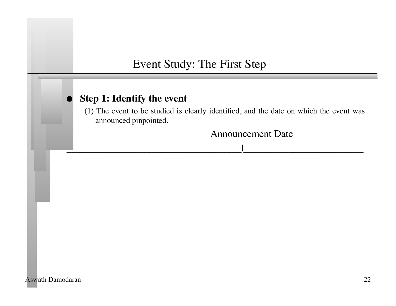### Event Study: The First Step

#### **Step 1: Identify the event**

(1) The event to be studied is clearly identified, and the date on which the event was announced pinpointed.

 $\frac{1}{\sqrt{2}}$  , and the set of the set of the set of the set of the set of the set of the set of the set of the set of the set of the set of the set of the set of the set of the set of the set of the set of the set of the

 Announcement Date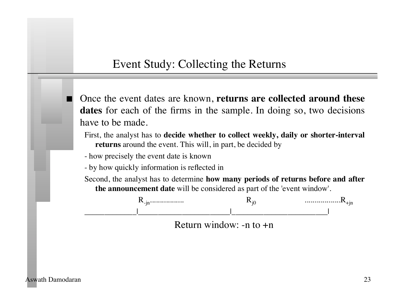### Event Study: Collecting the Returns

 Once the event dates are known, **returns are collected around these dates** for each of the firms in the sample. In doing so, two decisions have to be made.

First, the analyst has to **decide whether to collect weekly, daily or shorter-interval returns** around the event. This will, in part, be decided by

- how precisely the event date is known

- by how quickly information is reflected in

Second, the analyst has to determine **how many periods of returns before and after the announcement date** will be considered as part of the 'event window'.



 Return window: -n to +n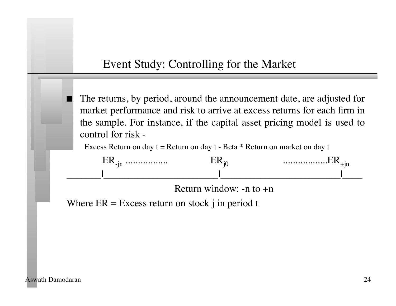### Event Study: Controlling for the Market

 The returns, by period, around the announcement date, are adjusted for market performance and risk to arrive at excess returns for each firm in the sample. For instance, if the capital asset pricing model is used to control for risk -

Excess Return on day  $t =$  Return on day  $t -$  Beta  $*$  Return on market on day t



 Return window: -n to +n

Where  $ER = Excess$  return on stock j in period t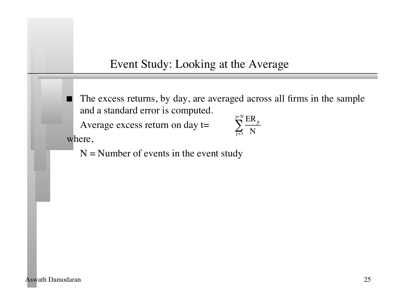Event Study: Looking at the Average

 The excess returns, by day, are averaged across all firms in the sample and a standard error is computed.

Average excess return on day t= where,

$$
\sum_{j=1}^{j=N}\frac{ER_{jt}}{N}
$$

 $N =$  Number of events in the event study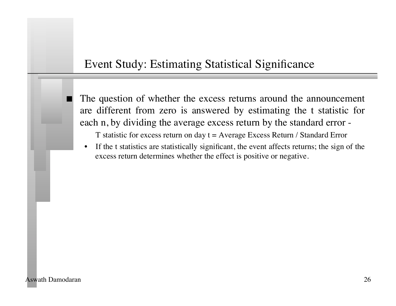### Event Study: Estimating Statistical Significance

 The question of whether the excess returns around the announcement are different from zero is answered by estimating the t statistic for each n, by dividing the average excess return by the standard error -

T statistic for excess return on day  $t = A$ verage Excess Return / Standard Error

• If the t statistics are statistically significant, the event affects returns; the sign of the excess return determines whether the effect is positive or negative.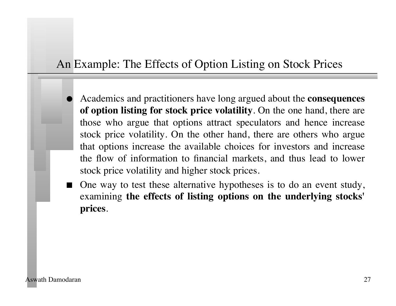### An Example: The Effects of Option Listing on Stock Prices

- Academics and practitioners have long argued about the **consequences of option listing for stock price volatility**. On the one hand, there are those who argue that options attract speculators and hence increase stock price volatility. On the other hand, there are others who argue that options increase the available choices for investors and increase the flow of information to financial markets, and thus lead to lower stock price volatility and higher stock prices.
- One way to test these alternative hypotheses is to do an event study, examining **the effects of listing options on the underlying stocks' prices**.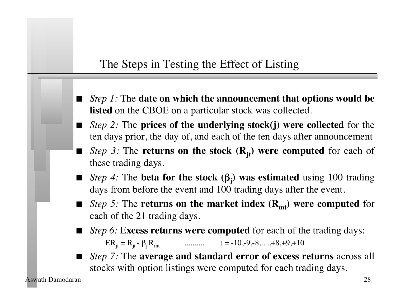### The Steps in Testing the Effect of Listing

- *Step 1:* The **date on which the announcement that options would be listed** on the CBOE on a particular stock was collected.
- *Step 2:* The **prices of the underlying stock(j) were collected** for the ten days prior, the day of, and each of the ten days after announcement
- *Step 3:* The **returns on the stock**  $(R_{it})$  **were computed** for each of these trading days.
- *Step 4:* The **beta for the stock (**β**<sup>j</sup> ) was estimated** using 100 trading days from before the event and 100 trading days after the event.
- *Step 5:* The **returns on the market index**  $(\mathbf{R}_{mt})$  **were computed** for each of the 21 trading days.
- *Step 6:* E**xcess returns were computed** for each of the trading days:

 $ER_{it} = R_{it} - \beta_i R_{mt}$  ........... t = -10,-9,-8,....,+8,+9,+10

 *Step 7:* The **average and standard error of excess returns** across all stocks with option listings were computed for each trading days.

Aswath Damodaran 28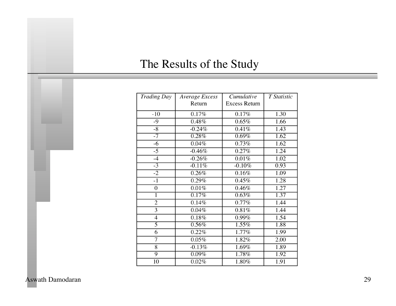# The Results of the Study

| <b>Trading Day</b> | Average Excess      | Cumulative           | T Statistic |
|--------------------|---------------------|----------------------|-------------|
|                    | Return              | <b>Excess Return</b> |             |
| $-10$              | 0.17%               | 0.17%                | 1.30        |
| $-9$               | 0.48%               | 0.65%                | 1.66        |
| $-8$               | $-0.24%$            | 0.41%                | 1.43        |
| $-7$               | 0.28%               | 0.69%                | 1.62        |
| $-6$               | $\overline{0.04\%}$ | 0.73%                | 1.62        |
| $-5$               | $-0.46%$            | 0.27%                | 1.24        |
| $-4$               | $-0.26%$            | 0.01%                | 1.02        |
| $-3$               | $-0.11%$            | $-0.10%$             | 0.93        |
| $-2$               | 0.26%               | 0.16%                | 1.09        |
| $-1$               | 0.29%               | 0.45%                | 1.28        |
| $\boldsymbol{0}$   | 0.01%               | 0.46%                | 1.27        |
| 1                  | 0.17%               | 0.63%                | 1.37        |
| $\overline{2}$     | 0.14%               | 0.77%                | 1.44        |
| 3                  | 0.04%               | 0.81%                | 1.44        |
| $\overline{4}$     | $0.18\%$            | 0.99%                | 1.54        |
| $\overline{5}$     | 0.56%               | 1.55%                | 1.88        |
| $\overline{6}$     | 0.22%               | 1.77%                | 1.99        |
| 7                  | $0.05\%$            | 1.82%                | 2.00        |
| $\overline{8}$     | $-0.13%$            | 1.69%                | 1.89        |
| $\overline{9}$     | $0.09\%$            | 1.78%                | 1.92        |
| 10                 | 0.02%               | $\overline{1.80\%}$  | 1.91        |

Aswath Damodaran 29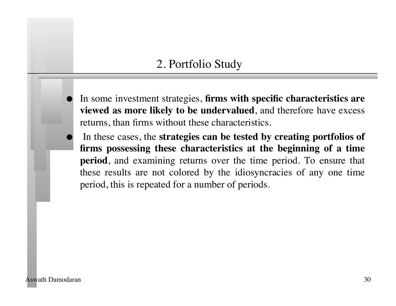### 2. Portfolio Study

- In some investment strategies, **firms with specific characteristics are viewed as more likely to be undervalued**, and therefore have excess returns, than firms without these characteristics.
- In these cases, the **strategies can be tested by creating portfolios of firms possessing these characteristics at the beginning of a time period**, and examining returns over the time period. To ensure that these results are not colored by the idiosyncracies of any one time period, this is repeated for a number of periods.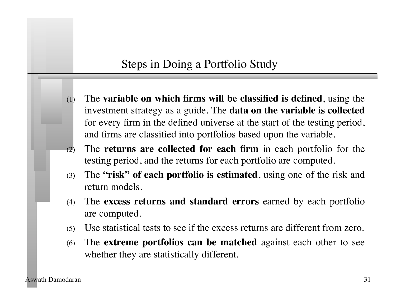### Steps in Doing a Portfolio Study

- (1) The **variable on which firms will be classified is defined**, using the investment strategy as a guide. The **data on the variable is collected** for every firm in the defined universe at the start of the testing period, and firms are classified into portfolios based upon the variable.
- (2) The **returns are collected for each firm** in each portfolio for the testing period, and the returns for each portfolio are computed.
- (3) The **"risk" of each portfolio is estimated**, using one of the risk and return models.
- (4) The **excess returns and standard errors** earned by each portfolio are computed.
- (5) Use statistical tests to see if the excess returns are different from zero.
- (6) The **extreme portfolios can be matched** against each other to see whether they are statistically different.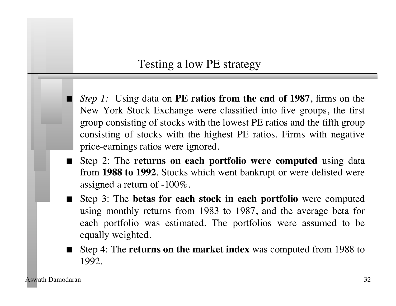### Testing a low PE strategy

*Step 1:* Using data on **PE ratios from the end of 1987**, firms on the New York Stock Exchange were classified into five groups, the first group consisting of stocks with the lowest PE ratios and the fifth group consisting of stocks with the highest PE ratios. Firms with negative price-earnings ratios were ignored.

- Step 2: The **returns on each portfolio were computed** using data from **1988 to 1992**. Stocks which went bankrupt or were delisted were assigned a return of -100%.
- Step 3: The **betas for each stock in each portfolio** were computed using monthly returns from 1983 to 1987, and the average beta for each portfolio was estimated. The portfolios were assumed to be equally weighted.
- Step 4: The **returns on the market index** was computed from 1988 to 1992.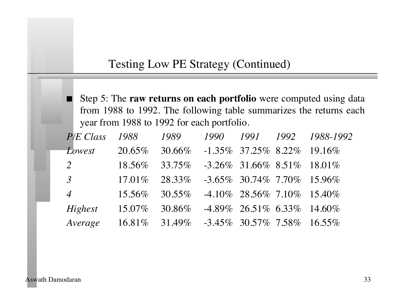### Testing Low PE Strategy (Continued)

 Step 5: The **raw returns on each portfolio** were computed using data from 1988 to 1992. The following table summarizes the returns each year from 1988 to 1992 for each portfolio.

| P/E Class      | 1988      | 1989                                             | 1990 |                                  | 1991 1992 1988-1992 |
|----------------|-----------|--------------------------------------------------|------|----------------------------------|---------------------|
| Lowest         | 20.65%    | 30.66% -1.35% 37.25% 8.22% 19.16%                |      |                                  |                     |
| 2              | 18.56%    | $33.75\%$ $-3.26\%$ $31.66\%$ $8.51\%$ $18.01\%$ |      |                                  |                     |
| $\overline{3}$ | $17.01\%$ | 28.33\% -3.65\% 30.74\% 7.70\% 15.96\%           |      |                                  |                     |
| $\overline{4}$ | $15.56\%$ | $30.55\%$                                        |      | $-4.10\%$ 28.56\% 7.10\% 15.40\% |                     |
| Highest        | $15.07\%$ | 30.86%                                           |      | $-4.89\%$ 26.51\% 6.33\% 14.60\% |                     |
| Average        |           | $16.81\%$ 31.49% -3.45% 30.57% 7.58% 16.55%      |      |                                  |                     |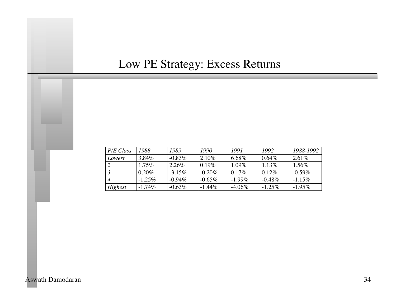# Low PE Strategy: Excess Returns

| P/E Class | 1988      | 1989      | 1990      | 1991      | 1992      | 1988-1992 |
|-----------|-----------|-----------|-----------|-----------|-----------|-----------|
| Lowest    | 3.84%     | $-0.83\%$ | 2.10%     | 6.68%     | $0.64\%$  | $2.61\%$  |
|           | $1.75\%$  | 2.26%     | $0.19\%$  | $1.09\%$  | $1.13\%$  | $1.56\%$  |
|           | $0.20\%$  | $-3.15\%$ | $-0.20\%$ | $0.17\%$  | 0.12%     | $-0.59\%$ |
|           | $-1.25\%$ | $-0.94\%$ | $-0.65\%$ | $-1.99\%$ | $-0.48\%$ | $-1.15%$  |
| Highest   | $-1.74\%$ | $-0.63\%$ | $-1.44\%$ | $-4.06\%$ | $-1.25\%$ | $-1.95\%$ |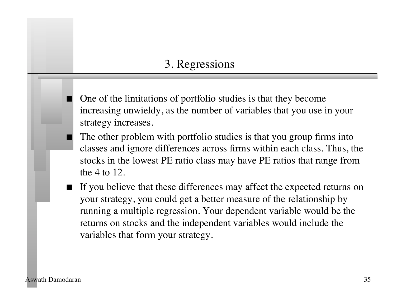### 3. Regressions

- One of the limitations of portfolio studies is that they become increasing unwieldy, as the number of variables that you use in your strategy increases.
- The other problem with portfolio studies is that you group firms into classes and ignore differences across firms within each class. Thus, the stocks in the lowest PE ratio class may have PE ratios that range from the 4 to 12.
- If you believe that these differences may affect the expected returns on your strategy, you could get a better measure of the relationship by running a multiple regression. Your dependent variable would be the returns on stocks and the independent variables would include the variables that form your strategy.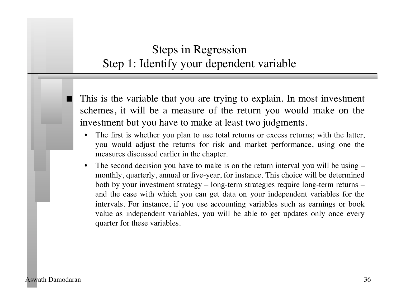# Steps in Regression Step 1: Identify your dependent variable

 This is the variable that you are trying to explain. In most investment schemes, it will be a measure of the return you would make on the investment but you have to make at least two judgments.

- The first is whether you plan to use total returns or excess returns; with the latter, you would adjust the returns for risk and market performance, using one the measures discussed earlier in the chapter.
- The second decision you have to make is on the return interval you will be using monthly, quarterly, annual or five-year, for instance. This choice will be determined both by your investment strategy – long-term strategies require long-term returns – and the ease with which you can get data on your independent variables for the intervals. For instance, if you use accounting variables such as earnings or book value as independent variables, you will be able to get updates only once every quarter for these variables.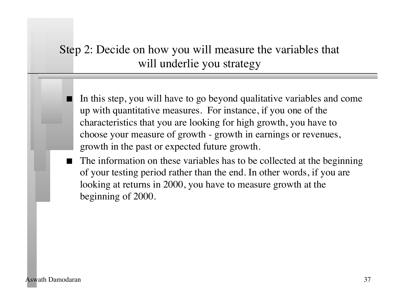# Step 2: Decide on how you will measure the variables that will underlie you strategy

 In this step, you will have to go beyond qualitative variables and come up with quantitative measures. For instance, if you one of the characteristics that you are looking for high growth, you have to choose your measure of growth - growth in earnings or revenues, growth in the past or expected future growth.

 The information on these variables has to be collected at the beginning of your testing period rather than the end. In other words, if you are looking at returns in 2000, you have to measure growth at the beginning of 2000.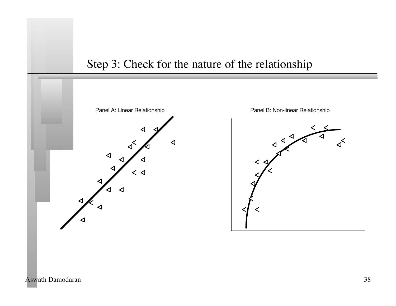

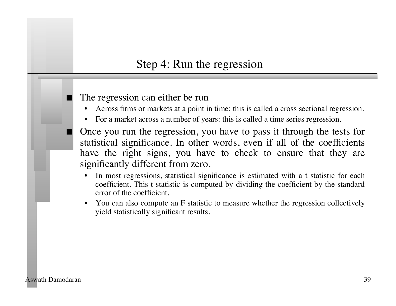### Step 4: Run the regression

#### The regression can either be run

- Across firms or markets at a point in time: this is called a cross sectional regression.
- For a market across a number of years: this is called a time series regression.
- Once you run the regression, you have to pass it through the tests for statistical significance. In other words, even if all of the coefficients have the right signs, you have to check to ensure that they are significantly different from zero.
	- In most regressions, statistical significance is estimated with a t statistic for each coefficient. This t statistic is computed by dividing the coefficient by the standard error of the coefficient.
	- You can also compute an F statistic to measure whether the regression collectively yield statistically significant results.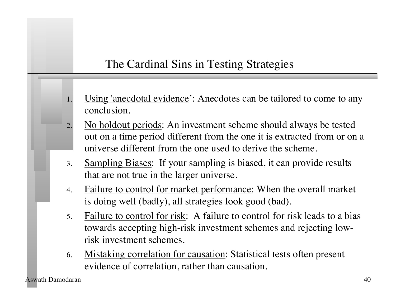# The Cardinal Sins in Testing Strategies

- Using 'anecdotal evidence': Anecdotes can be tailored to come to any conclusion.
- No holdout periods: An investment scheme should always be tested out on a time period different from the one it is extracted from or on a universe different from the one used to derive the scheme.
- 3. Sampling Biases: If your sampling is biased, it can provide results that are not true in the larger universe.
- 4. Failure to control for market performance: When the overall market is doing well (badly), all strategies look good (bad).
- 5. Failure to control for risk: A failure to control for risk leads to a bias towards accepting high-risk investment schemes and rejecting lowrisk investment schemes.
- 6. Mistaking correlation for causation: Statistical tests often present evidence of correlation, rather than causation.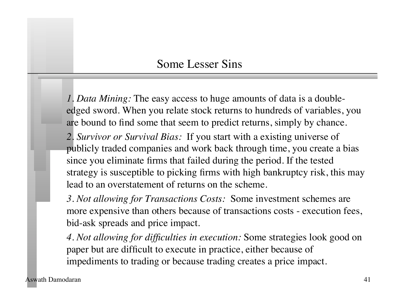### Some Lesser Sins

*1. Data Mining:* The easy access to huge amounts of data is a doubleedged sword. When you relate stock returns to hundreds of variables, you are bound to find some that seem to predict returns, simply by chance.

*2. Survivor or Survival Bias:* If you start with a existing universe of publicly traded companies and work back through time, you create a bias since you eliminate firms that failed during the period. If the tested strategy is susceptible to picking firms with high bankruptcy risk, this may lead to an overstatement of returns on the scheme.

*3. Not allowing for Transactions Costs:* Some investment schemes are more expensive than others because of transactions costs - execution fees, bid-ask spreads and price impact.

*4. Not allowing for difficulties in execution:* Some strategies look good on paper but are difficult to execute in practice, either because of impediments to trading or because trading creates a price impact.